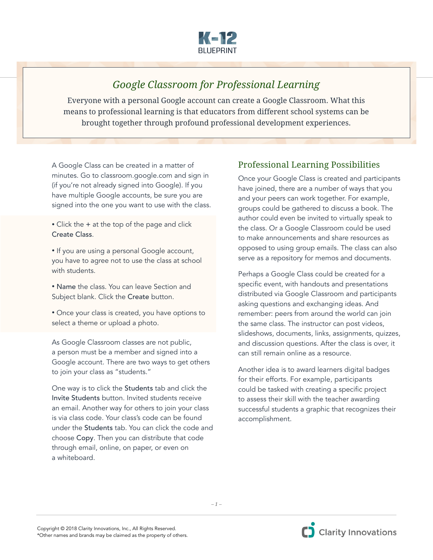

## *Google Classroom for Professional Learning*

Everyone with a personal Google account can create a Google Classroom. What this means to professional learning is that educators from different school systems can be brought together through profound professional development experiences.

A Google Class can be created in a matter of minutes. Go to classroom.google.com and sign in (if you're not already signed into Google). If you have multiple Google accounts, be sure you are signed into the one you want to use with the class.

• Click the + at the top of the page and click Create Class.

• If you are using a personal Google account, you have to agree not to use the class at school with students.

• Name the class. You can leave Section and Subject blank. Click the Create button.

• Once your class is created, you have options to select a theme or upload a photo.

As Google Classroom classes are not public, a person must be a member and signed into a Google account. There are two ways to get others to join your class as "students."

One way is to click the Students tab and click the Invite Students button. Invited students receive an email. Another way for others to join your class is via class code. Your class's code can be found under the Students tab. You can click the code and choose Copy. Then you can distribute that code through email, online, on paper, or even on a whiteboard.

## Professional Learning Possibilities

Once your Google Class is created and participants have joined, there are a number of ways that you and your peers can work together. For example, groups could be gathered to discuss a book. The author could even be invited to virtually speak to the class. Or a Google Classroom could be used to make announcements and share resources as opposed to using group emails. The class can also serve as a repository for memos and documents.

Perhaps a Google Class could be created for a specific event, with handouts and presentations distributed via Google Classroom and participants asking questions and exchanging ideas. And remember: peers from around the world can join the same class. The instructor can post videos, slideshows, documents, links, assignments, quizzes, and discussion questions. After the class is over, it can still remain online as a resource.

Another idea is to award learners digital badges for their efforts. For example, participants could be tasked with creating a specific project to assess their skill with the teacher awarding successful students a graphic that recognizes their accomplishment.